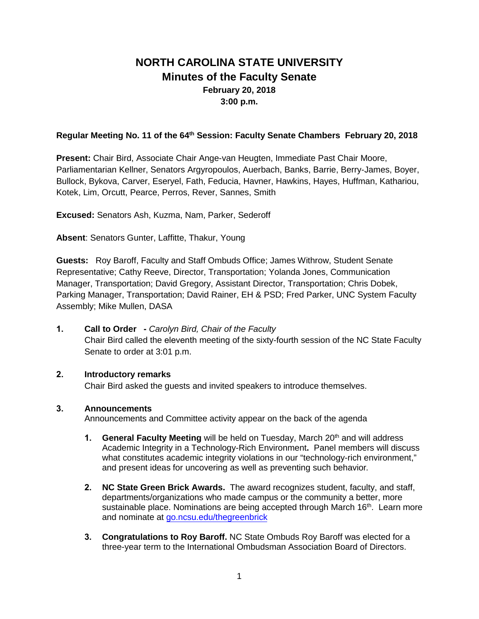# **NORTH CAROLINA STATE UNIVERSITY Minutes of the Faculty Senate February 20, 2018 3:00 p.m.**

# **Regular Meeting No. 11 of the 64th Session: Faculty Senate Chambers February 20, 2018**

**Present:** Chair Bird, Associate Chair Ange-van Heugten, Immediate Past Chair Moore, Parliamentarian Kellner, Senators Argyropoulos, Auerbach, Banks, Barrie, Berry-James, Boyer, Bullock, Bykova, Carver, Eseryel, Fath, Feducia, Havner, Hawkins, Hayes, Huffman, Kathariou, Kotek, Lim, Orcutt, Pearce, Perros, Rever, Sannes, Smith

**Excused:** Senators Ash, Kuzma, Nam, Parker, Sederoff

**Absent**: Senators Gunter, Laffitte, Thakur, Young

**Guests:** Roy Baroff, Faculty and Staff Ombuds Office; James Withrow, Student Senate Representative; Cathy Reeve, Director, Transportation; Yolanda Jones, Communication Manager, Transportation; David Gregory, Assistant Director, Transportation; Chris Dobek, Parking Manager, Transportation; David Rainer, EH & PSD; Fred Parker, UNC System Faculty Assembly; Mike Mullen, DASA

## **1. Call to Order -** *Carolyn Bird, Chair of the Faculty*

Chair Bird called the eleventh meeting of the sixty-fourth session of the NC State Faculty Senate to order at 3:01 p.m.

# **2. Introductory remarks**

Chair Bird asked the guests and invited speakers to introduce themselves.

# **3. Announcements**

Announcements and Committee activity appear on the back of the agenda

- **1. General Faculty Meeting** will be held on Tuesday, March 20th and will address Academic Integrity in a Technology-Rich Environment**.** Panel members will discuss what constitutes academic integrity violations in our "technology-rich environment," and present ideas for uncovering as well as preventing such behavior*.*
- **2. NC State Green Brick Awards.** The award recognizes student, faculty, and staff, departments/organizations who made campus or the community a better, more sustainable place. Nominations are being accepted through March 16<sup>th</sup>. Learn more and nominate at [go.ncsu.edu/thegreenbrick](http://go.ncsu.edu/thegreenbrick)
- **3. Congratulations to Roy Baroff.** NC State Ombuds Roy Baroff was elected for a three-year term to the International Ombudsman Association Board of Directors.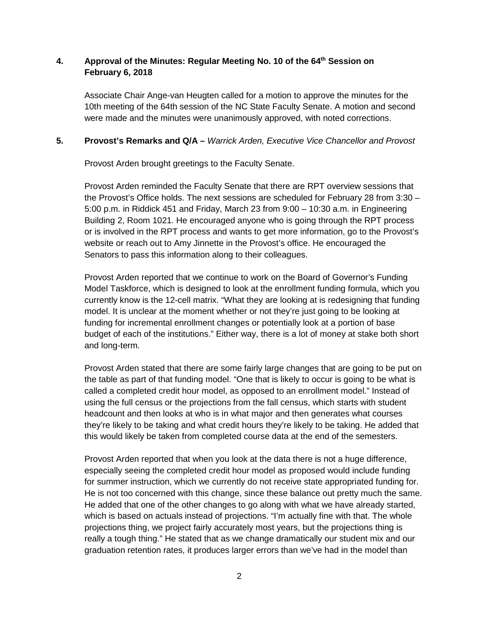# **4. Approval of the Minutes: Regular Meeting No. 10 of the 64th Session on February 6, 2018**

Associate Chair Ange-van Heugten called for a motion to approve the minutes for the 10th meeting of the 64th session of the NC State Faculty Senate. A motion and second were made and the minutes were unanimously approved, with noted corrections.

# **5. Provost's Remarks and Q/A –** *Warrick Arden, Executive Vice Chancellor and Provost*

Provost Arden brought greetings to the Faculty Senate.

Provost Arden reminded the Faculty Senate that there are RPT overview sessions that the Provost's Office holds. The next sessions are scheduled for February 28 from 3:30 – 5:00 p.m. in Riddick 451 and Friday, March 23 from 9:00 – 10:30 a.m. in Engineering Building 2, Room 1021. He encouraged anyone who is going through the RPT process or is involved in the RPT process and wants to get more information, go to the Provost's website or reach out to Amy Jinnette in the Provost's office. He encouraged the Senators to pass this information along to their colleagues.

Provost Arden reported that we continue to work on the Board of Governor's Funding Model Taskforce, which is designed to look at the enrollment funding formula, which you currently know is the 12-cell matrix. "What they are looking at is redesigning that funding model. It is unclear at the moment whether or not they're just going to be looking at funding for incremental enrollment changes or potentially look at a portion of base budget of each of the institutions." Either way, there is a lot of money at stake both short and long-term.

Provost Arden stated that there are some fairly large changes that are going to be put on the table as part of that funding model. "One that is likely to occur is going to be what is called a completed credit hour model, as opposed to an enrollment model." Instead of using the full census or the projections from the fall census, which starts with student headcount and then looks at who is in what major and then generates what courses they're likely to be taking and what credit hours they're likely to be taking. He added that this would likely be taken from completed course data at the end of the semesters.

Provost Arden reported that when you look at the data there is not a huge difference, especially seeing the completed credit hour model as proposed would include funding for summer instruction, which we currently do not receive state appropriated funding for. He is not too concerned with this change, since these balance out pretty much the same. He added that one of the other changes to go along with what we have already started, which is based on actuals instead of projections. "I'm actually fine with that. The whole projections thing, we project fairly accurately most years, but the projections thing is really a tough thing." He stated that as we change dramatically our student mix and our graduation retention rates, it produces larger errors than we've had in the model than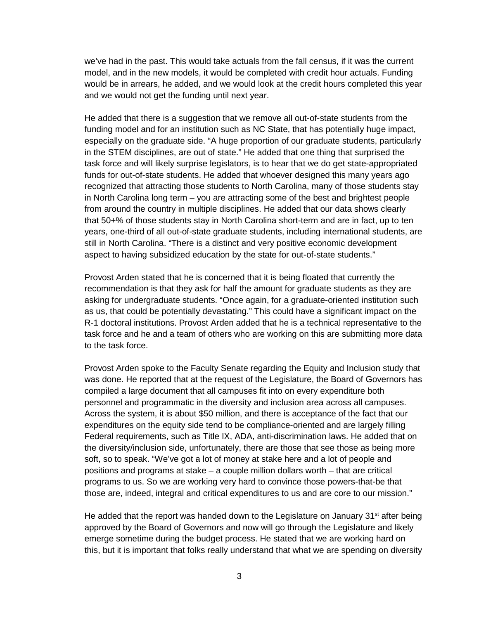we've had in the past. This would take actuals from the fall census, if it was the current model, and in the new models, it would be completed with credit hour actuals. Funding would be in arrears, he added, and we would look at the credit hours completed this year and we would not get the funding until next year.

He added that there is a suggestion that we remove all out-of-state students from the funding model and for an institution such as NC State, that has potentially huge impact, especially on the graduate side. "A huge proportion of our graduate students, particularly in the STEM disciplines, are out of state." He added that one thing that surprised the task force and will likely surprise legislators, is to hear that we do get state-appropriated funds for out-of-state students. He added that whoever designed this many years ago recognized that attracting those students to North Carolina, many of those students stay in North Carolina long term – you are attracting some of the best and brightest people from around the country in multiple disciplines. He added that our data shows clearly that 50+% of those students stay in North Carolina short-term and are in fact, up to ten years, one-third of all out-of-state graduate students, including international students, are still in North Carolina. "There is a distinct and very positive economic development aspect to having subsidized education by the state for out-of-state students."

Provost Arden stated that he is concerned that it is being floated that currently the recommendation is that they ask for half the amount for graduate students as they are asking for undergraduate students. "Once again, for a graduate-oriented institution such as us, that could be potentially devastating." This could have a significant impact on the R-1 doctoral institutions. Provost Arden added that he is a technical representative to the task force and he and a team of others who are working on this are submitting more data to the task force.

Provost Arden spoke to the Faculty Senate regarding the Equity and Inclusion study that was done. He reported that at the request of the Legislature, the Board of Governors has compiled a large document that all campuses fit into on every expenditure both personnel and programmatic in the diversity and inclusion area across all campuses. Across the system, it is about \$50 million, and there is acceptance of the fact that our expenditures on the equity side tend to be compliance-oriented and are largely filling Federal requirements, such as Title IX, ADA, anti-discrimination laws. He added that on the diversity/inclusion side, unfortunately, there are those that see those as being more soft, so to speak. "We've got a lot of money at stake here and a lot of people and positions and programs at stake – a couple million dollars worth – that are critical programs to us. So we are working very hard to convince those powers-that-be that those are, indeed, integral and critical expenditures to us and are core to our mission."

He added that the report was handed down to the Legislature on January 31<sup>st</sup> after being approved by the Board of Governors and now will go through the Legislature and likely emerge sometime during the budget process. He stated that we are working hard on this, but it is important that folks really understand that what we are spending on diversity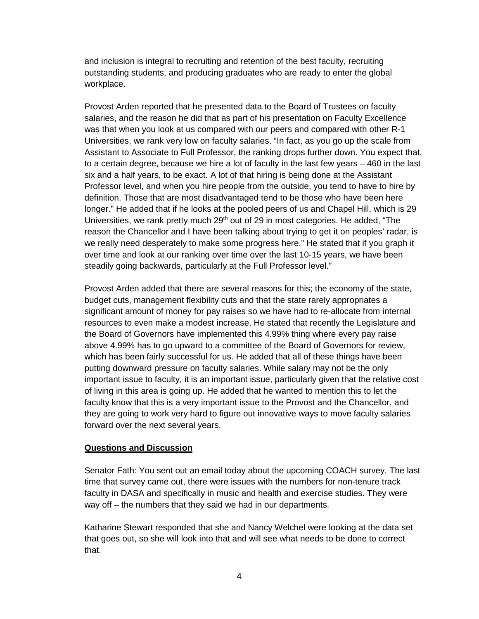and inclusion is integral to recruiting and retention of the best faculty, recruiting outstanding students, and producing graduates who are ready to enter the global workplace.

Provost Arden reported that he presented data to the Board of Trustees on faculty salaries, and the reason he did that as part of his presentation on Faculty Excellence was that when you look at us compared with our peers and compared with other R-1 Universities, we rank very low on faculty salaries. "In fact, as you go up the scale from Assistant to Associate to Full Professor, the ranking drops further down. You expect that, to a certain degree, because we hire a lot of faculty in the last few years – 460 in the last six and a half years, to be exact. A lot of that hiring is being done at the Assistant Professor level, and when you hire people from the outside, you tend to have to hire by definition. Those that are most disadvantaged tend to be those who have been here longer." He added that if he looks at the pooled peers of us and Chapel Hill, which is 29 Universities, we rank pretty much 29<sup>th</sup> out of 29 in most categories. He added, "The reason the Chancellor and I have been talking about trying to get it on peoples' radar, is we really need desperately to make some progress here." He stated that if you graph it over time and look at our ranking over time over the last 10-15 years, we have been steadily going backwards, particularly at the Full Professor level."

Provost Arden added that there are several reasons for this; the economy of the state, budget cuts, management flexibility cuts and that the state rarely appropriates a significant amount of money for pay raises so we have had to re-allocate from internal resources to even make a modest increase. He stated that recently the Legislature and the Board of Governors have implemented this 4.99% thing where every pay raise above 4.99% has to go upward to a committee of the Board of Governors for review, which has been fairly successful for us. He added that all of these things have been putting downward pressure on faculty salaries. While salary may not be the only important issue to faculty, it is an important issue, particularly given that the relative cost of living in this area is going up. He added that he wanted to mention this to let the faculty know that this is a very important issue to the Provost and the Chancellor, and they are going to work very hard to figure out innovative ways to move faculty salaries forward over the next several years.

## **Questions and Discussion**

Senator Fath: You sent out an email today about the upcoming COACH survey. The last time that survey came out, there were issues with the numbers for non-tenure track faculty in DASA and specifically in music and health and exercise studies. They were way off – the numbers that they said we had in our departments.

Katharine Stewart responded that she and Nancy Welchel were looking at the data set that goes out, so she will look into that and will see what needs to be done to correct that.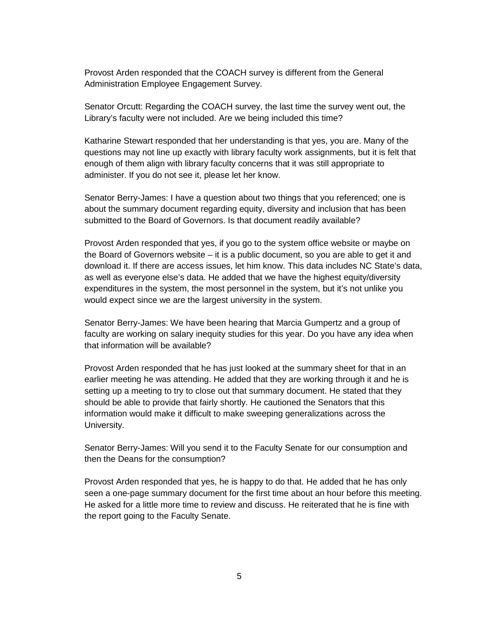Provost Arden responded that the COACH survey is different from the General Administration Employee Engagement Survey.

Senator Orcutt: Regarding the COACH survey, the last time the survey went out, the Library's faculty were not included. Are we being included this time?

Katharine Stewart responded that her understanding is that yes, you are. Many of the questions may not line up exactly with library faculty work assignments, but it is felt that enough of them align with library faculty concerns that it was still appropriate to administer. If you do not see it, please let her know.

Senator Berry-James: I have a question about two things that you referenced; one is about the summary document regarding equity, diversity and inclusion that has been submitted to the Board of Governors. Is that document readily available?

Provost Arden responded that yes, if you go to the system office website or maybe on the Board of Governors website – it is a public document, so you are able to get it and download it. If there are access issues, let him know. This data includes NC State's data, as well as everyone else's data. He added that we have the highest equity/diversity expenditures in the system, the most personnel in the system, but it's not unlike you would expect since we are the largest university in the system.

Senator Berry-James: We have been hearing that Marcia Gumpertz and a group of faculty are working on salary inequity studies for this year. Do you have any idea when that information will be available?

Provost Arden responded that he has just looked at the summary sheet for that in an earlier meeting he was attending. He added that they are working through it and he is setting up a meeting to try to close out that summary document. He stated that they should be able to provide that fairly shortly. He cautioned the Senators that this information would make it difficult to make sweeping generalizations across the University.

Senator Berry-James: Will you send it to the Faculty Senate for our consumption and then the Deans for the consumption?

Provost Arden responded that yes, he is happy to do that. He added that he has only seen a one-page summary document for the first time about an hour before this meeting. He asked for a little more time to review and discuss. He reiterated that he is fine with the report going to the Faculty Senate.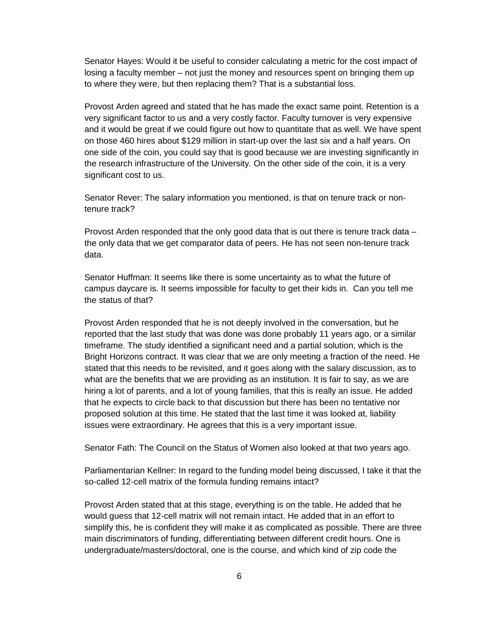Senator Hayes: Would it be useful to consider calculating a metric for the cost impact of losing a faculty member – not just the money and resources spent on bringing them up to where they were, but then replacing them? That is a substantial loss.

Provost Arden agreed and stated that he has made the exact same point. Retention is a very significant factor to us and a very costly factor. Faculty turnover is very expensive and it would be great if we could figure out how to quantitate that as well. We have spent on those 460 hires about \$129 million in start-up over the last six and a half years. On one side of the coin, you could say that is good because we are investing significantly in the research infrastructure of the University. On the other side of the coin, it is a very significant cost to us.

Senator Rever: The salary information you mentioned, is that on tenure track or nontenure track?

Provost Arden responded that the only good data that is out there is tenure track data – the only data that we get comparator data of peers. He has not seen non-tenure track data.

Senator Huffman: It seems like there is some uncertainty as to what the future of campus daycare is. It seems impossible for faculty to get their kids in. Can you tell me the status of that?

Provost Arden responded that he is not deeply involved in the conversation, but he reported that the last study that was done was done probably 11 years ago, or a similar timeframe. The study identified a significant need and a partial solution, which is the Bright Horizons contract. It was clear that we are only meeting a fraction of the need. He stated that this needs to be revisited, and it goes along with the salary discussion, as to what are the benefits that we are providing as an institution. It is fair to say, as we are hiring a lot of parents, and a lot of young families, that this is really an issue. He added that he expects to circle back to that discussion but there has been no tentative nor proposed solution at this time. He stated that the last time it was looked at, liability issues were extraordinary. He agrees that this is a very important issue.

Senator Fath: The Council on the Status of Women also looked at that two years ago.

Parliamentarian Kellner: In regard to the funding model being discussed, I take it that the so-called 12-cell matrix of the formula funding remains intact?

Provost Arden stated that at this stage, everything is on the table. He added that he would guess that 12-cell matrix will not remain intact. He added that in an effort to simplify this, he is confident they will make it as complicated as possible. There are three main discriminators of funding, differentiating between different credit hours. One is undergraduate/masters/doctoral, one is the course, and which kind of zip code the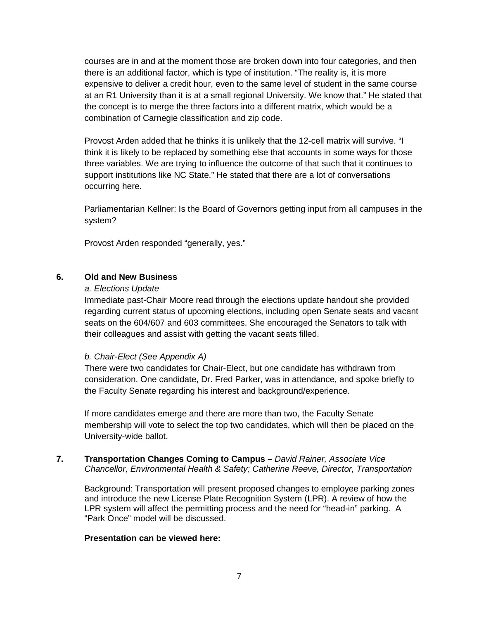courses are in and at the moment those are broken down into four categories, and then there is an additional factor, which is type of institution. "The reality is, it is more expensive to deliver a credit hour, even to the same level of student in the same course at an R1 University than it is at a small regional University. We know that." He stated that the concept is to merge the three factors into a different matrix, which would be a combination of Carnegie classification and zip code.

Provost Arden added that he thinks it is unlikely that the 12-cell matrix will survive. "I think it is likely to be replaced by something else that accounts in some ways for those three variables. We are trying to influence the outcome of that such that it continues to support institutions like NC State." He stated that there are a lot of conversations occurring here.

Parliamentarian Kellner: Is the Board of Governors getting input from all campuses in the system?

Provost Arden responded "generally, yes."

## **6. Old and New Business**

### *a. Elections Update*

Immediate past-Chair Moore read through the elections update handout she provided regarding current status of upcoming elections, including open Senate seats and vacant seats on the 604/607 and 603 committees. She encouraged the Senators to talk with their colleagues and assist with getting the vacant seats filled.

#### *b. Chair-Elect (See Appendix A)*

There were two candidates for Chair-Elect, but one candidate has withdrawn from consideration. One candidate, Dr. Fred Parker, was in attendance, and spoke briefly to the Faculty Senate regarding his interest and background/experience.

If more candidates emerge and there are more than two, the Faculty Senate membership will vote to select the top two candidates, which will then be placed on the University-wide ballot.

### **7. Transportation Changes Coming to Campus –** *David Rainer, Associate Vice Chancellor, Environmental Health & Safety; Catherine Reeve, Director, Transportation*

Background: Transportation will present proposed changes to employee parking zones and introduce the new License Plate Recognition System (LPR). A review of how the LPR system will affect the permitting process and the need for "head-in" parking. A "Park Once" model will be discussed.

### **Presentation can be viewed here:**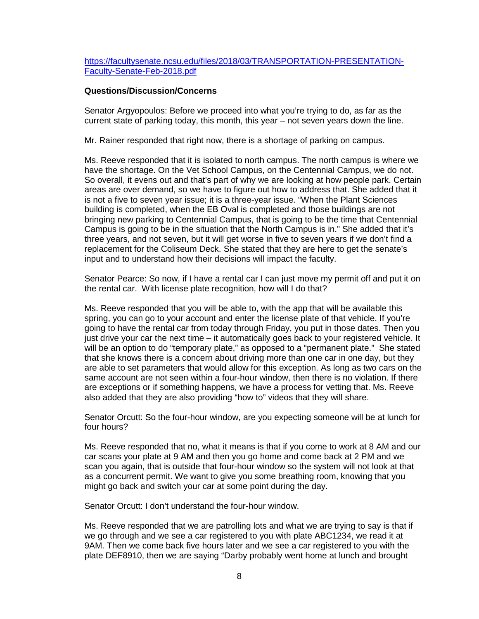[https://facultysenate.ncsu.edu/files/2018/03/TRANSPORTATION-PRESENTATION-](https://facultysenate.ncsu.edu/files/2018/03/TRANSPORTATION-PRESENTATION-Faculty-Senate-Feb-2018.pdf)[Faculty-Senate-Feb-2018.pdf](https://facultysenate.ncsu.edu/files/2018/03/TRANSPORTATION-PRESENTATION-Faculty-Senate-Feb-2018.pdf)

#### **Questions/Discussion/Concerns**

Senator Argyopoulos: Before we proceed into what you're trying to do, as far as the current state of parking today, this month, this year – not seven years down the line.

Mr. Rainer responded that right now, there is a shortage of parking on campus.

Ms. Reeve responded that it is isolated to north campus. The north campus is where we have the shortage. On the Vet School Campus, on the Centennial Campus, we do not. So overall, it evens out and that's part of why we are looking at how people park. Certain areas are over demand, so we have to figure out how to address that. She added that it is not a five to seven year issue; it is a three-year issue. "When the Plant Sciences building is completed, when the EB Oval is completed and those buildings are not bringing new parking to Centennial Campus, that is going to be the time that Centennial Campus is going to be in the situation that the North Campus is in." She added that it's three years, and not seven, but it will get worse in five to seven years if we don't find a replacement for the Coliseum Deck. She stated that they are here to get the senate's input and to understand how their decisions will impact the faculty.

Senator Pearce: So now, if I have a rental car I can just move my permit off and put it on the rental car. With license plate recognition, how will I do that?

Ms. Reeve responded that you will be able to, with the app that will be available this spring, you can go to your account and enter the license plate of that vehicle. If you're going to have the rental car from today through Friday, you put in those dates. Then you just drive your car the next time – it automatically goes back to your registered vehicle. It will be an option to do "temporary plate," as opposed to a "permanent plate." She stated that she knows there is a concern about driving more than one car in one day, but they are able to set parameters that would allow for this exception. As long as two cars on the same account are not seen within a four-hour window, then there is no violation. If there are exceptions or if something happens, we have a process for vetting that. Ms. Reeve also added that they are also providing "how to" videos that they will share.

Senator Orcutt: So the four-hour window, are you expecting someone will be at lunch for four hours?

Ms. Reeve responded that no, what it means is that if you come to work at 8 AM and our car scans your plate at 9 AM and then you go home and come back at 2 PM and we scan you again, that is outside that four-hour window so the system will not look at that as a concurrent permit. We want to give you some breathing room, knowing that you might go back and switch your car at some point during the day.

Senator Orcutt: I don't understand the four-hour window.

Ms. Reeve responded that we are patrolling lots and what we are trying to say is that if we go through and we see a car registered to you with plate ABC1234, we read it at 9AM. Then we come back five hours later and we see a car registered to you with the plate DEF8910, then we are saying "Darby probably went home at lunch and brought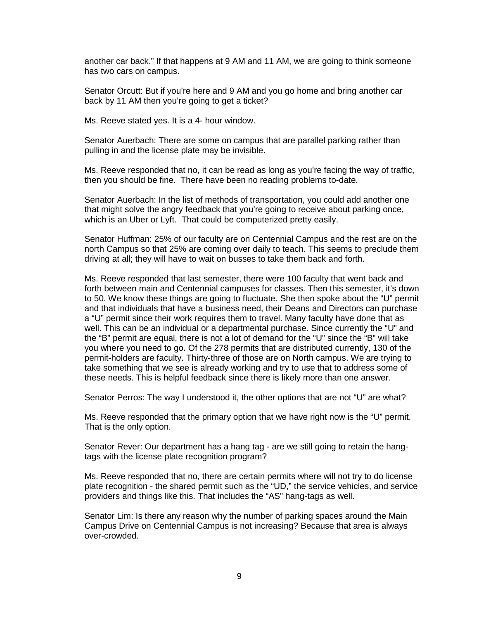another car back." If that happens at 9 AM and 11 AM, we are going to think someone has two cars on campus.

Senator Orcutt: But if you're here and 9 AM and you go home and bring another car back by 11 AM then you're going to get a ticket?

Ms. Reeve stated yes. It is a 4- hour window.

Senator Auerbach: There are some on campus that are parallel parking rather than pulling in and the license plate may be invisible.

Ms. Reeve responded that no, it can be read as long as you're facing the way of traffic, then you should be fine. There have been no reading problems to-date.

Senator Auerbach: In the list of methods of transportation, you could add another one that might solve the angry feedback that you're going to receive about parking once, which is an Uber or Lyft. That could be computerized pretty easily.

Senator Huffman: 25% of our faculty are on Centennial Campus and the rest are on the north Campus so that 25% are coming over daily to teach. This seems to preclude them driving at all; they will have to wait on busses to take them back and forth.

Ms. Reeve responded that last semester, there were 100 faculty that went back and forth between main and Centennial campuses for classes. Then this semester, it's down to 50. We know these things are going to fluctuate. She then spoke about the "U" permit and that individuals that have a business need, their Deans and Directors can purchase a "U" permit since their work requires them to travel. Many faculty have done that as well. This can be an individual or a departmental purchase. Since currently the "U" and the "B" permit are equal, there is not a lot of demand for the "U" since the "B" will take you where you need to go. Of the 278 permits that are distributed currently, 130 of the permit-holders are faculty. Thirty-three of those are on North campus. We are trying to take something that we see is already working and try to use that to address some of these needs. This is helpful feedback since there is likely more than one answer.

Senator Perros: The way I understood it, the other options that are not "U" are what?

Ms. Reeve responded that the primary option that we have right now is the "U" permit. That is the only option.

Senator Rever: Our department has a hang tag - are we still going to retain the hangtags with the license plate recognition program?

Ms. Reeve responded that no, there are certain permits where will not try to do license plate recognition - the shared permit such as the "UD," the service vehicles, and service providers and things like this. That includes the "AS" hang-tags as well.

Senator Lim: Is there any reason why the number of parking spaces around the Main Campus Drive on Centennial Campus is not increasing? Because that area is always over-crowded.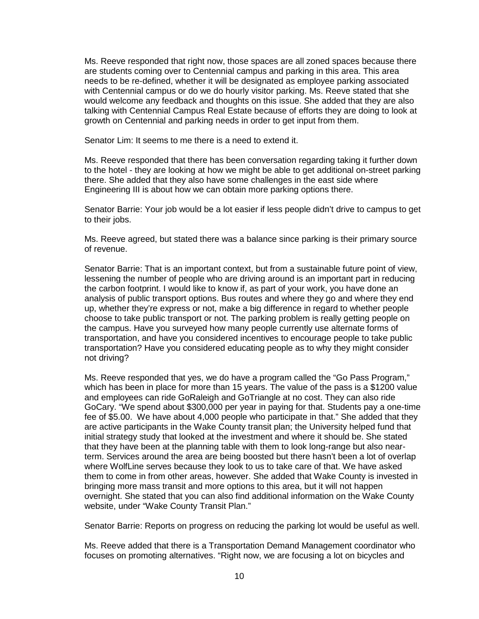Ms. Reeve responded that right now, those spaces are all zoned spaces because there are students coming over to Centennial campus and parking in this area. This area needs to be re-defined, whether it will be designated as employee parking associated with Centennial campus or do we do hourly visitor parking. Ms. Reeve stated that she would welcome any feedback and thoughts on this issue. She added that they are also talking with Centennial Campus Real Estate because of efforts they are doing to look at growth on Centennial and parking needs in order to get input from them.

Senator Lim: It seems to me there is a need to extend it.

Ms. Reeve responded that there has been conversation regarding taking it further down to the hotel - they are looking at how we might be able to get additional on-street parking there. She added that they also have some challenges in the east side where Engineering III is about how we can obtain more parking options there.

Senator Barrie: Your job would be a lot easier if less people didn't drive to campus to get to their jobs.

Ms. Reeve agreed, but stated there was a balance since parking is their primary source of revenue.

Senator Barrie: That is an important context, but from a sustainable future point of view, lessening the number of people who are driving around is an important part in reducing the carbon footprint. I would like to know if, as part of your work, you have done an analysis of public transport options. Bus routes and where they go and where they end up, whether they're express or not, make a big difference in regard to whether people choose to take public transport or not. The parking problem is really getting people on the campus. Have you surveyed how many people currently use alternate forms of transportation, and have you considered incentives to encourage people to take public transportation? Have you considered educating people as to why they might consider not driving?

Ms. Reeve responded that yes, we do have a program called the "Go Pass Program," which has been in place for more than 15 years. The value of the pass is a \$1200 value and employees can ride GoRaleigh and GoTriangle at no cost. They can also ride GoCary. "We spend about \$300,000 per year in paying for that. Students pay a one-time fee of \$5.00. We have about 4,000 people who participate in that." She added that they are active participants in the Wake County transit plan; the University helped fund that initial strategy study that looked at the investment and where it should be. She stated that they have been at the planning table with them to look long-range but also nearterm. Services around the area are being boosted but there hasn't been a lot of overlap where WolfLine serves because they look to us to take care of that. We have asked them to come in from other areas, however. She added that Wake County is invested in bringing more mass transit and more options to this area, but it will not happen overnight. She stated that you can also find additional information on the Wake County website, under "Wake County Transit Plan."

Senator Barrie: Reports on progress on reducing the parking lot would be useful as well.

Ms. Reeve added that there is a Transportation Demand Management coordinator who focuses on promoting alternatives. "Right now, we are focusing a lot on bicycles and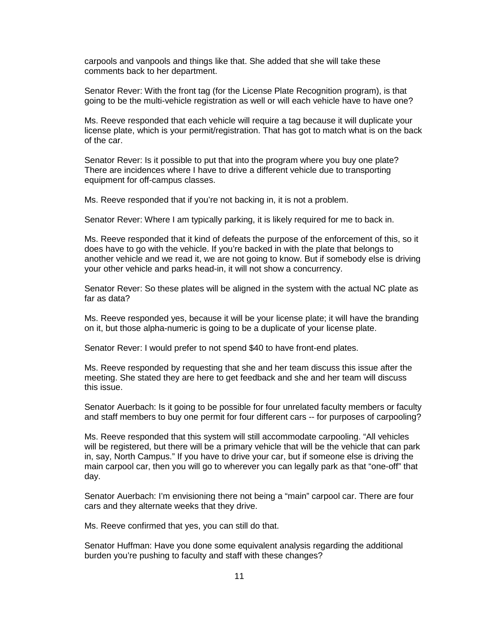carpools and vanpools and things like that. She added that she will take these comments back to her department.

Senator Rever: With the front tag (for the License Plate Recognition program), is that going to be the multi-vehicle registration as well or will each vehicle have to have one?

Ms. Reeve responded that each vehicle will require a tag because it will duplicate your license plate, which is your permit/registration. That has got to match what is on the back of the car.

Senator Rever: Is it possible to put that into the program where you buy one plate? There are incidences where I have to drive a different vehicle due to transporting equipment for off-campus classes.

Ms. Reeve responded that if you're not backing in, it is not a problem.

Senator Rever: Where I am typically parking, it is likely required for me to back in.

Ms. Reeve responded that it kind of defeats the purpose of the enforcement of this, so it does have to go with the vehicle. If you're backed in with the plate that belongs to another vehicle and we read it, we are not going to know. But if somebody else is driving your other vehicle and parks head-in, it will not show a concurrency.

Senator Rever: So these plates will be aligned in the system with the actual NC plate as far as data?

Ms. Reeve responded yes, because it will be your license plate; it will have the branding on it, but those alpha-numeric is going to be a duplicate of your license plate.

Senator Rever: I would prefer to not spend \$40 to have front-end plates.

Ms. Reeve responded by requesting that she and her team discuss this issue after the meeting. She stated they are here to get feedback and she and her team will discuss this issue.

Senator Auerbach: Is it going to be possible for four unrelated faculty members or faculty and staff members to buy one permit for four different cars -- for purposes of carpooling?

Ms. Reeve responded that this system will still accommodate carpooling. "All vehicles will be registered, but there will be a primary vehicle that will be the vehicle that can park in, say, North Campus." If you have to drive your car, but if someone else is driving the main carpool car, then you will go to wherever you can legally park as that "one-off" that day.

Senator Auerbach: I'm envisioning there not being a "main" carpool car. There are four cars and they alternate weeks that they drive.

Ms. Reeve confirmed that yes, you can still do that.

Senator Huffman: Have you done some equivalent analysis regarding the additional burden you're pushing to faculty and staff with these changes?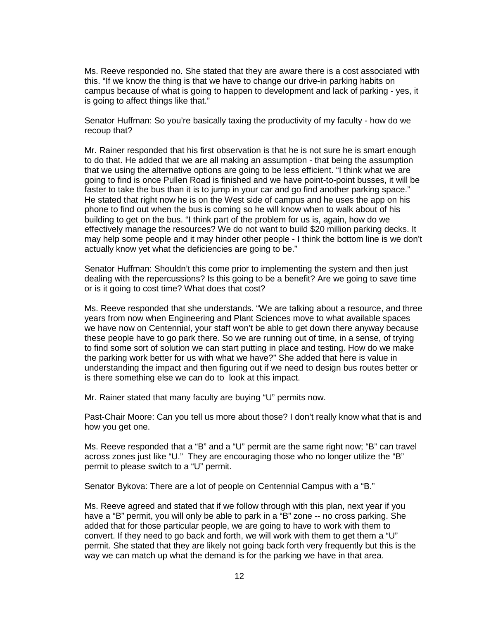Ms. Reeve responded no. She stated that they are aware there is a cost associated with this. "If we know the thing is that we have to change our drive-in parking habits on campus because of what is going to happen to development and lack of parking - yes, it is going to affect things like that."

Senator Huffman: So you're basically taxing the productivity of my faculty - how do we recoup that?

Mr. Rainer responded that his first observation is that he is not sure he is smart enough to do that. He added that we are all making an assumption - that being the assumption that we using the alternative options are going to be less efficient. "I think what we are going to find is once Pullen Road is finished and we have point-to-point busses, it will be faster to take the bus than it is to jump in your car and go find another parking space." He stated that right now he is on the West side of campus and he uses the app on his phone to find out when the bus is coming so he will know when to walk about of his building to get on the bus. "I think part of the problem for us is, again, how do we effectively manage the resources? We do not want to build \$20 million parking decks. It may help some people and it may hinder other people - I think the bottom line is we don't actually know yet what the deficiencies are going to be."

Senator Huffman: Shouldn't this come prior to implementing the system and then just dealing with the repercussions? Is this going to be a benefit? Are we going to save time or is it going to cost time? What does that cost?

Ms. Reeve responded that she understands. "We are talking about a resource, and three years from now when Engineering and Plant Sciences move to what available spaces we have now on Centennial, your staff won't be able to get down there anyway because these people have to go park there. So we are running out of time, in a sense, of trying to find some sort of solution we can start putting in place and testing. How do we make the parking work better for us with what we have?" She added that here is value in understanding the impact and then figuring out if we need to design bus routes better or is there something else we can do to look at this impact.

Mr. Rainer stated that many faculty are buying "U" permits now.

Past-Chair Moore: Can you tell us more about those? I don't really know what that is and how you get one.

Ms. Reeve responded that a "B" and a "U" permit are the same right now; "B" can travel across zones just like "U." They are encouraging those who no longer utilize the "B" permit to please switch to a "U" permit.

Senator Bykova: There are a lot of people on Centennial Campus with a "B."

Ms. Reeve agreed and stated that if we follow through with this plan, next year if you have a "B" permit, you will only be able to park in a "B" zone -- no cross parking. She added that for those particular people, we are going to have to work with them to convert. If they need to go back and forth, we will work with them to get them a "U" permit. She stated that they are likely not going back forth very frequently but this is the way we can match up what the demand is for the parking we have in that area.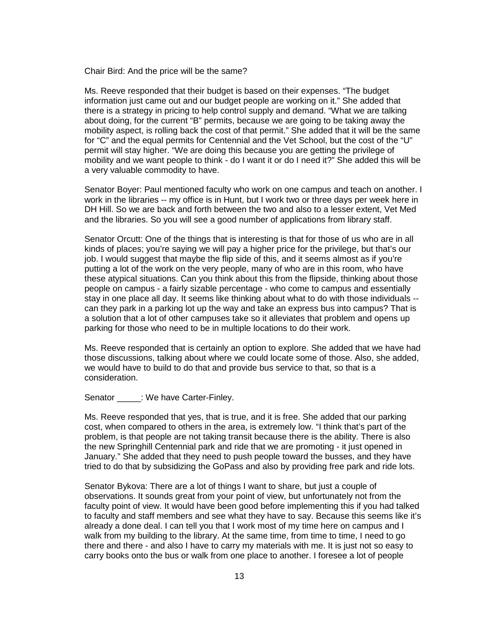Chair Bird: And the price will be the same?

Ms. Reeve responded that their budget is based on their expenses. "The budget information just came out and our budget people are working on it." She added that there is a strategy in pricing to help control supply and demand. "What we are talking about doing, for the current "B" permits, because we are going to be taking away the mobility aspect, is rolling back the cost of that permit." She added that it will be the same for "C" and the equal permits for Centennial and the Vet School, but the cost of the "U" permit will stay higher. "We are doing this because you are getting the privilege of mobility and we want people to think - do I want it or do I need it?" She added this will be a very valuable commodity to have.

Senator Boyer: Paul mentioned faculty who work on one campus and teach on another. I work in the libraries -- my office is in Hunt, but I work two or three days per week here in DH Hill. So we are back and forth between the two and also to a lesser extent, Vet Med and the libraries. So you will see a good number of applications from library staff.

Senator Orcutt: One of the things that is interesting is that for those of us who are in all kinds of places; you're saying we will pay a higher price for the privilege, but that's our job. I would suggest that maybe the flip side of this, and it seems almost as if you're putting a lot of the work on the very people, many of who are in this room, who have these atypical situations. Can you think about this from the flipside, thinking about those people on campus - a fairly sizable percentage - who come to campus and essentially stay in one place all day. It seems like thinking about what to do with those individuals - can they park in a parking lot up the way and take an express bus into campus? That is a solution that a lot of other campuses take so it alleviates that problem and opens up parking for those who need to be in multiple locations to do their work.

Ms. Reeve responded that is certainly an option to explore. She added that we have had those discussions, talking about where we could locate some of those. Also, she added, we would have to build to do that and provide bus service to that, so that is a consideration.

Senator : We have Carter-Finley.

Ms. Reeve responded that yes, that is true, and it is free. She added that our parking cost, when compared to others in the area, is extremely low. "I think that's part of the problem, is that people are not taking transit because there is the ability. There is also the new Springhill Centennial park and ride that we are promoting - it just opened in January." She added that they need to push people toward the busses, and they have tried to do that by subsidizing the GoPass and also by providing free park and ride lots.

Senator Bykova: There are a lot of things I want to share, but just a couple of observations. It sounds great from your point of view, but unfortunately not from the faculty point of view. It would have been good before implementing this if you had talked to faculty and staff members and see what they have to say. Because this seems like it's already a done deal. I can tell you that I work most of my time here on campus and I walk from my building to the library. At the same time, from time to time, I need to go there and there - and also I have to carry my materials with me. It is just not so easy to carry books onto the bus or walk from one place to another. I foresee a lot of people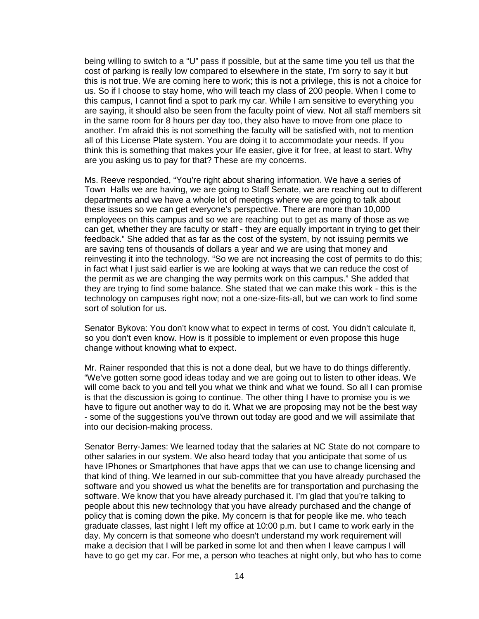being willing to switch to a "U" pass if possible, but at the same time you tell us that the cost of parking is really low compared to elsewhere in the state, I'm sorry to say it but this is not true. We are coming here to work; this is not a privilege, this is not a choice for us. So if I choose to stay home, who will teach my class of 200 people. When I come to this campus, I cannot find a spot to park my car. While I am sensitive to everything you are saying, it should also be seen from the faculty point of view. Not all staff members sit in the same room for 8 hours per day too, they also have to move from one place to another. I'm afraid this is not something the faculty will be satisfied with, not to mention all of this License Plate system. You are doing it to accommodate your needs. If you think this is something that makes your life easier, give it for free, at least to start. Why are you asking us to pay for that? These are my concerns.

Ms. Reeve responded, "You're right about sharing information. We have a series of Town Halls we are having, we are going to Staff Senate, we are reaching out to different departments and we have a whole lot of meetings where we are going to talk about these issues so we can get everyone's perspective. There are more than 10,000 employees on this campus and so we are reaching out to get as many of those as we can get, whether they are faculty or staff - they are equally important in trying to get their feedback." She added that as far as the cost of the system, by not issuing permits we are saving tens of thousands of dollars a year and we are using that money and reinvesting it into the technology. "So we are not increasing the cost of permits to do this; in fact what I just said earlier is we are looking at ways that we can reduce the cost of the permit as we are changing the way permits work on this campus." She added that they are trying to find some balance. She stated that we can make this work - this is the technology on campuses right now; not a one-size-fits-all, but we can work to find some sort of solution for us.

Senator Bykova: You don't know what to expect in terms of cost. You didn't calculate it, so you don't even know. How is it possible to implement or even propose this huge change without knowing what to expect.

Mr. Rainer responded that this is not a done deal, but we have to do things differently. "We've gotten some good ideas today and we are going out to listen to other ideas. We will come back to you and tell you what we think and what we found. So all I can promise is that the discussion is going to continue. The other thing I have to promise you is we have to figure out another way to do it. What we are proposing may not be the best way - some of the suggestions you've thrown out today are good and we will assimilate that into our decision-making process.

Senator Berry-James: We learned today that the salaries at NC State do not compare to other salaries in our system. We also heard today that you anticipate that some of us have IPhones or Smartphones that have apps that we can use to change licensing and that kind of thing. We learned in our sub-committee that you have already purchased the software and you showed us what the benefits are for transportation and purchasing the software. We know that you have already purchased it. I'm glad that you're talking to people about this new technology that you have already purchased and the change of policy that is coming down the pike. My concern is that for people like me. who teach graduate classes, last night I left my office at 10:00 p.m. but I came to work early in the day. My concern is that someone who doesn't understand my work requirement will make a decision that I will be parked in some lot and then when I leave campus I will have to go get my car. For me, a person who teaches at night only, but who has to come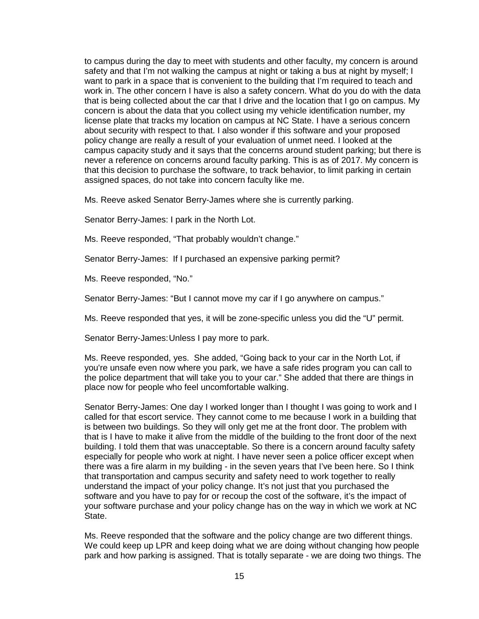to campus during the day to meet with students and other faculty, my concern is around safety and that I'm not walking the campus at night or taking a bus at night by myself; I want to park in a space that is convenient to the building that I'm required to teach and work in. The other concern I have is also a safety concern. What do you do with the data that is being collected about the car that I drive and the location that I go on campus. My concern is about the data that you collect using my vehicle identification number, my license plate that tracks my location on campus at NC State. I have a serious concern about security with respect to that. I also wonder if this software and your proposed policy change are really a result of your evaluation of unmet need. I looked at the campus capacity study and it says that the concerns around student parking; but there is never a reference on concerns around faculty parking. This is as of 2017. My concern is that this decision to purchase the software, to track behavior, to limit parking in certain assigned spaces, do not take into concern faculty like me.

Ms. Reeve asked Senator Berry-James where she is currently parking.

Senator Berry-James: I park in the North Lot.

Ms. Reeve responded, "That probably wouldn't change."

Senator Berry-James: If I purchased an expensive parking permit?

Ms. Reeve responded, "No."

Senator Berry-James: "But I cannot move my car if I go anywhere on campus."

Ms. Reeve responded that yes, it will be zone-specific unless you did the "U" permit.

Senator Berry-James:Unless I pay more to park.

Ms. Reeve responded, yes. She added, "Going back to your car in the North Lot, if you're unsafe even now where you park, we have a safe rides program you can call to the police department that will take you to your car." She added that there are things in place now for people who feel uncomfortable walking.

Senator Berry-James: One day I worked longer than I thought I was going to work and I called for that escort service. They cannot come to me because I work in a building that is between two buildings. So they will only get me at the front door. The problem with that is I have to make it alive from the middle of the building to the front door of the next building. I told them that was unacceptable. So there is a concern around faculty safety especially for people who work at night. I have never seen a police officer except when there was a fire alarm in my building - in the seven years that I've been here. So I think that transportation and campus security and safety need to work together to really understand the impact of your policy change. It's not just that you purchased the software and you have to pay for or recoup the cost of the software, it's the impact of your software purchase and your policy change has on the way in which we work at NC State.

Ms. Reeve responded that the software and the policy change are two different things. We could keep up LPR and keep doing what we are doing without changing how people park and how parking is assigned. That is totally separate - we are doing two things. The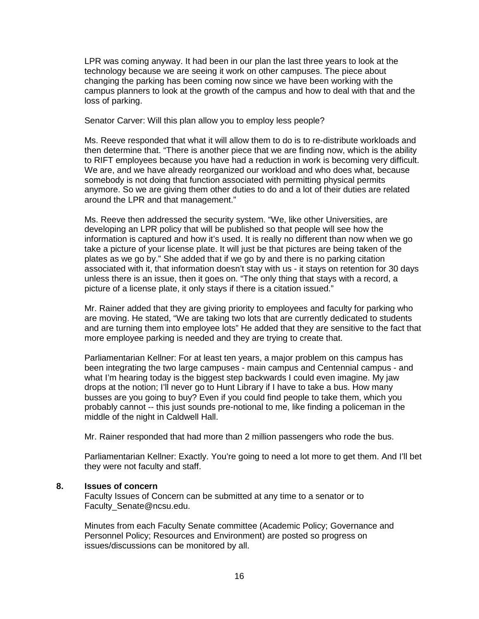LPR was coming anyway. It had been in our plan the last three years to look at the technology because we are seeing it work on other campuses. The piece about changing the parking has been coming now since we have been working with the campus planners to look at the growth of the campus and how to deal with that and the loss of parking.

Senator Carver: Will this plan allow you to employ less people?

Ms. Reeve responded that what it will allow them to do is to re-distribute workloads and then determine that. "There is another piece that we are finding now, which is the ability to RIFT employees because you have had a reduction in work is becoming very difficult. We are, and we have already reorganized our workload and who does what, because somebody is not doing that function associated with permitting physical permits anymore. So we are giving them other duties to do and a lot of their duties are related around the LPR and that management."

Ms. Reeve then addressed the security system. "We, like other Universities, are developing an LPR policy that will be published so that people will see how the information is captured and how it's used. It is really no different than now when we go take a picture of your license plate. It will just be that pictures are being taken of the plates as we go by." She added that if we go by and there is no parking citation associated with it, that information doesn't stay with us - it stays on retention for 30 days unless there is an issue, then it goes on. "The only thing that stays with a record, a picture of a license plate, it only stays if there is a citation issued."

Mr. Rainer added that they are giving priority to employees and faculty for parking who are moving. He stated, "We are taking two lots that are currently dedicated to students and are turning them into employee lots" He added that they are sensitive to the fact that more employee parking is needed and they are trying to create that.

Parliamentarian Kellner: For at least ten years, a major problem on this campus has been integrating the two large campuses - main campus and Centennial campus - and what I'm hearing today is the biggest step backwards I could even imagine. My jaw drops at the notion; I'll never go to Hunt Library if I have to take a bus. How many busses are you going to buy? Even if you could find people to take them, which you probably cannot -- this just sounds pre-notional to me, like finding a policeman in the middle of the night in Caldwell Hall.

Mr. Rainer responded that had more than 2 million passengers who rode the bus.

Parliamentarian Kellner: Exactly. You're going to need a lot more to get them. And I'll bet they were not faculty and staff.

#### **8. Issues of concern**

Faculty Issues of Concern can be submitted at any time to a senator or to Faculty\_Senate@ncsu.edu.

Minutes from each Faculty Senate committee (Academic Policy; Governance and Personnel Policy; Resources and Environment) are posted so progress on issues/discussions can be monitored by all.